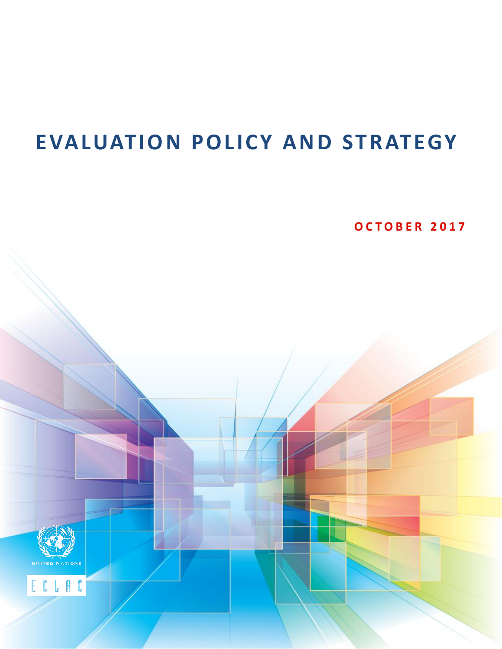# **EVALUATION POLICY AND STRATEGY**

**O C T O B E R 2 0 1 7**



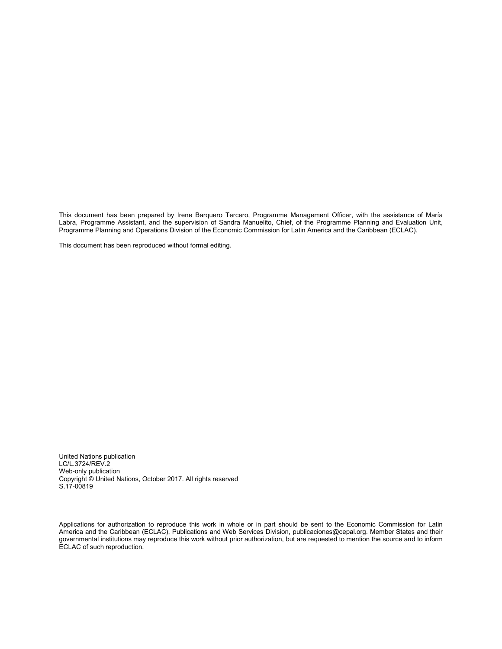This document has been prepared by Irene Barquero Tercero, Programme Management Officer, with the assistance of María Labra, Programme Assistant, and the supervision of Sandra Manuelito, Chief, of the Programme Planning and Evaluation Unit, Programme Planning and Operations Division of the Economic Commission for Latin America and the Caribbean (ECLAC).

This document has been reproduced without formal editing.

United Nations publication LC/L.3724/REV.2 Web-only publication Copyright © United Nations, October 2017. All rights reserved S.17-00819

Applications for authorization to reproduce this work in whole or in part should be sent to the Economic Commission for Latin America and the Caribbean (ECLAC), Publications and Web Services Division, publicaciones@cepal.org. Member States and their governmental institutions may reproduce this work without prior authorization, but are requested to mention the source and to inform ECLAC of such reproduction.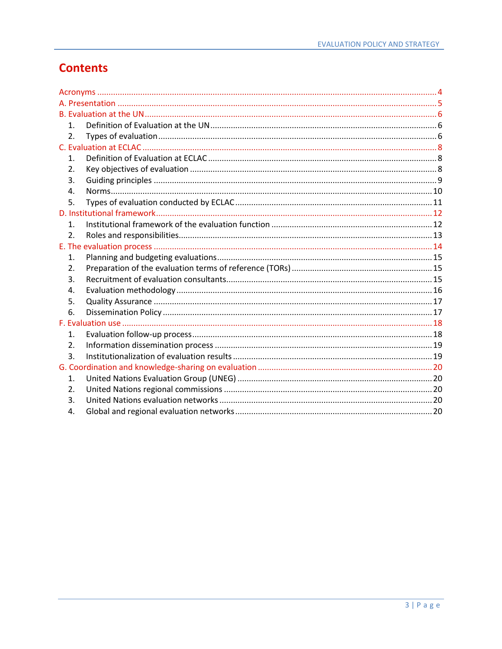# **Contents**

| $\mathbf{1}$ .   |  |  |  |
|------------------|--|--|--|
| 2.               |  |  |  |
|                  |  |  |  |
| $\mathbf{1}$ .   |  |  |  |
| 2.               |  |  |  |
| 3.               |  |  |  |
| 4.               |  |  |  |
| 5.               |  |  |  |
|                  |  |  |  |
| $\mathbf{1}$ .   |  |  |  |
| $\overline{2}$ . |  |  |  |
|                  |  |  |  |
| 1.               |  |  |  |
| 2.               |  |  |  |
| 3.               |  |  |  |
| 4.               |  |  |  |
| 5.               |  |  |  |
| 6.               |  |  |  |
|                  |  |  |  |
| 1.               |  |  |  |
| 2.               |  |  |  |
| 3.               |  |  |  |
|                  |  |  |  |
| 1.               |  |  |  |
| 2.               |  |  |  |
| 3.               |  |  |  |
| 4.               |  |  |  |
|                  |  |  |  |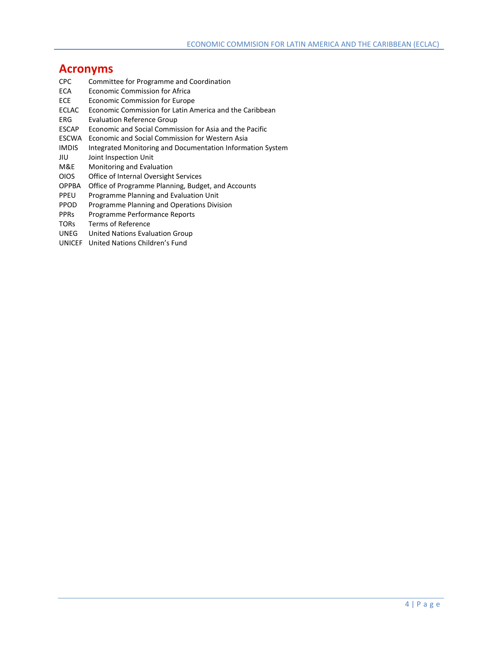# <span id="page-3-0"></span>**Acronyms**

- Committee for Programme and Coordination
- ECA Economic Commission for Africa
- ECE Economic Commission for Europe
- ECLAC Economic Commission for Latin America and the Caribbean
- ERG Evaluation Reference Group
- ESCAP Economic and Social Commission for Asia and the Pacific
- ESCWA Economic and Social Commission for Western Asia
- IMDIS Integrated Monitoring and Documentation Information System
- JIU Joint Inspection Unit
- M&E Monitoring and Evaluation<br>OIOS Office of Internal Oversight
- Office of Internal Oversight Services
- OPPBA Office of Programme Planning, Budget, and Accounts
- PPEU Programme Planning and Evaluation Unit
- PPOD Programme Planning and Operations Division
- PPRs Programme Performance Reports
- TORs Terms of Reference
- UNEG United Nations Evaluation Group
- UNICEF United Nations Children's Fund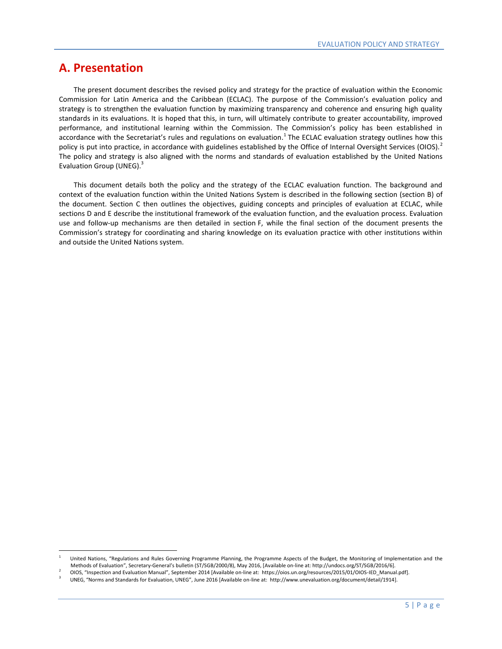# <span id="page-4-0"></span>**A. Presentation**

 The present document describes the revised policy and strategy for the practice of evaluation within the Economic Commission for Latin America and the Caribbean (ECLAC). The purpose of the Commission's evaluation policy and strategy is to strengthen the evaluation function by maximizing transparency and coherence and ensuring high quality standards in its evaluations. It is hoped that this, in turn, will ultimately contribute to greater accountability, improved performance, and institutional learning within the Commission. The Commission's policy has been established in accordance with the Secretariat's rules and regulations on evaluation.<sup>1</sup> The ECLAC evaluation strategy outlines how this policy is put into practice, in accordance with guidelines established by the Office of Internal Oversight Services (OIOS).<sup>2</sup> The policy and strategy is also aligned with the norms and standards of evaluation established by the United Nations Evaluation Group (UNEG).<sup>3</sup>

 This document details both the policy and the strategy of the ECLAC evaluation function. The background and context of the evaluation function within the United Nations System is described in the following section (section B) of the document. Section C then outlines the objectives, guiding concepts and principles of evaluation at ECLAC, while sections D and E describe the institutional framework of the evaluation function, and the evaluation process. Evaluation use and follow-up mechanisms are then detailed in section F, while the final section of the document presents the Commission's strategy for coordinating and sharing knowledge on its evaluation practice with other institutions within and outside the United Nations system.

 $\frac{1}{1}$ United Nations, "Regulations and Rules Governing Programme Planning, the Programme Aspects of the Budget, the Monitoring of Implementation and the Methods of Evaluation", Secretary-General's bulletin (ST/SGB/2000/8), May 2016, [Available on-line at: http://undocs.org/ST/SGB/2016/6].

<sup>2</sup> OIOS, "Inspection and Evaluation Manual", September 2014 [Available on-line at: https://oios.un.org/resources/2015/01/OIOS-IED\_Manual.pdf].

<sup>3</sup> UNEG, "Norms and Standards for Evaluation, UNEG", June 2016 [Available on-line at: [http://www.unevaluation.org/document/detail/1914\].](http://www.unevaluation.org/document/detail/1914)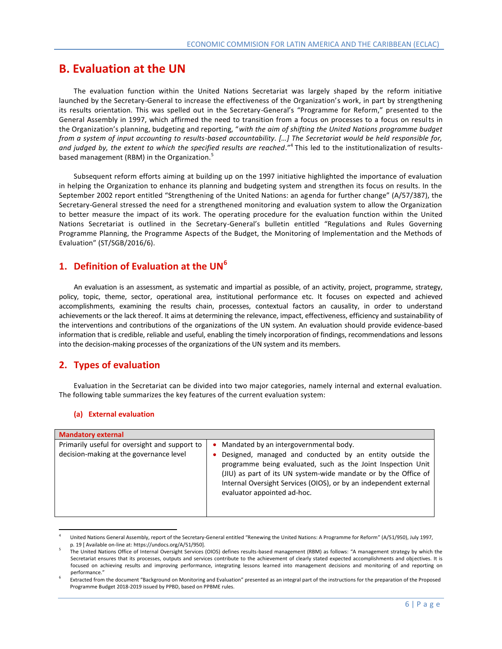# <span id="page-5-0"></span>**B. Evaluation at the UN**

 The evaluation function within the United Nations Secretariat was largely shaped by the reform initiative launched by the Secretary-General to increase the effectiveness of the Organization's work, in part by strengthening its results orientation. This was spelled out in the Secretary-General's "Programme for Reform," presented to the General Assembly in 1997, which affirmed the need to transition from a focus on processes to a focus on resul ts in the Organization's planning, budgeting and reporting, "*with the aim of shifting the United Nations programme budget from a system of input accounting to results-based accountability. […] The Secretariat would be held responsible for,*  and judged by, the extent to which the specified results are reached."<sup>4</sup> This led to the institutionalization of resultsbased management (RBM) in the Organization.<sup>5</sup>

 Subsequent reform efforts aiming at building up on the 1997 initiative highlighted the importance of evaluation in helping the Organization to enhance its planning and budgeting system and strengthen its focus on results. In the September 2002 report entitled "Strengthening of the United Nations: an agenda for further change" (A/57/387), the Secretary-General stressed the need for a strengthened monitoring and evaluation system to allow the Organization to better measure the impact of its work. The operating procedure for the evaluation function within the United Nations Secretariat is outlined in the Secretary-General's bulletin entitled "Regulations and Rules Governing Programme Planning, the Programme Aspects of the Budget, the Monitoring of Implementation and the Methods of Evaluation" (ST/SGB/2016/6).

# <span id="page-5-1"></span>**1. Definition of Evaluation at the UN<sup>6</sup>**

An evaluation is an assessment, as systematic and impartial as possible, of an activity, project, programme, strategy, policy, topic, theme, sector, operational area, institutional performance etc. It focuses on expected and achieved accomplishments, examining the results chain, processes, contextual factors an causality, in order to understand achievements or the lack thereof. It aims at determining the relevance, impact, effectiveness, efficiency and sustainability of the interventions and contributions of the organizations of the UN system. An evaluation should provide evidence-based information that is credible, reliable and useful, enabling the timely incorporation of findings, recommendations and lessons into the decision-making processes of the organizations of the UN system and its members.

# <span id="page-5-2"></span>**2. Types of evaluation**

 Evaluation in the Secretariat can be divided into two major categories, namely internal and external evaluation. The following table summarizes the key features of the current evaluation system:

#### **(a) External evaluation**

 $\overline{\phantom{a}}$ 

| <b>Mandatory external</b>                                                                |                                                                                                                                                                                                                                                                                                                                                |  |  |  |
|------------------------------------------------------------------------------------------|------------------------------------------------------------------------------------------------------------------------------------------------------------------------------------------------------------------------------------------------------------------------------------------------------------------------------------------------|--|--|--|
| Primarily useful for oversight and support to<br>decision-making at the governance level | Mandated by an intergovernmental body.<br>٠<br>Designed, managed and conducted by an entity outside the<br>programme being evaluated, such as the Joint Inspection Unit<br>(JIU) as part of its UN system-wide mandate or by the Office of<br>Internal Oversight Services (OIOS), or by an independent external<br>evaluator appointed ad-hoc. |  |  |  |

<sup>4</sup> United Nations General Assembly, report of the Secretary-General entitled "Renewing the United Nations: A Programme for Reform" (A/51/950), July 1997, p. 19 [ Available on-line at: https://undocs.org/A/51/950].

<sup>5</sup> The United Nations Office of Internal Oversight Services (OIOS) defines results-based management (RBM) as follows: "A management strategy by which the Secretariat ensures that its processes, outputs and services contribute to the achievement of clearly stated expected accomplishments and objectives. It is focused on achieving results and improving performance, integrating lessons learned into management decisions and monitoring of and reporting on performance."

<sup>6</sup> Extracted from the document "Background on Monitoring and Evaluation" presented as an integral part of the instructions for the preparation of the Proposed Programme Budget 2018-2019 issued by PPBD, based on PPBME rules.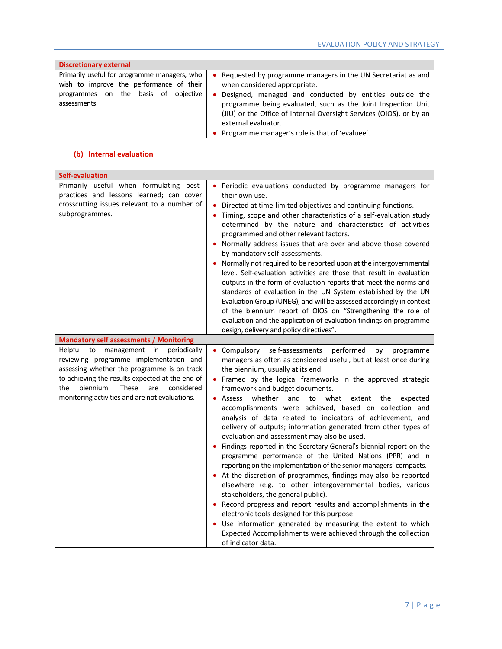| <b>Discretionary external</b>                                                                                                                      |                                                                                                                                                                                                                                                                                                                                                                              |  |  |  |
|----------------------------------------------------------------------------------------------------------------------------------------------------|------------------------------------------------------------------------------------------------------------------------------------------------------------------------------------------------------------------------------------------------------------------------------------------------------------------------------------------------------------------------------|--|--|--|
| Primarily useful for programme managers, who<br>wish to improve the performance of their<br>on the basis of objective<br>programmes<br>assessments | Requested by programme managers in the UN Secretariat as and<br>when considered appropriate.<br>Designed, managed and conducted by entities outside the<br>٠<br>programme being evaluated, such as the Joint Inspection Unit<br>(JIU) or the Office of Internal Oversight Services (OIOS), or by an<br>external evaluator.<br>Programme manager's role is that of 'evaluee'. |  |  |  |

### **(b) Internal evaluation**

| <b>Self-evaluation</b>                                                                                                                                                                                                                                                                                                                     |                                                                                                                                                                                                                                                                                                                                                                                                                                                                                                                                                                                                                                                                                                                                                                                                                                                                                                                                                                                                                                                                                                                                                                                                                                        |  |  |
|--------------------------------------------------------------------------------------------------------------------------------------------------------------------------------------------------------------------------------------------------------------------------------------------------------------------------------------------|----------------------------------------------------------------------------------------------------------------------------------------------------------------------------------------------------------------------------------------------------------------------------------------------------------------------------------------------------------------------------------------------------------------------------------------------------------------------------------------------------------------------------------------------------------------------------------------------------------------------------------------------------------------------------------------------------------------------------------------------------------------------------------------------------------------------------------------------------------------------------------------------------------------------------------------------------------------------------------------------------------------------------------------------------------------------------------------------------------------------------------------------------------------------------------------------------------------------------------------|--|--|
| Primarily useful when formulating best-<br>practices and lessons learned; can cover<br>crosscutting issues relevant to a number of<br>subprogrammes.                                                                                                                                                                                       | • Periodic evaluations conducted by programme managers for<br>their own use.<br>Directed at time-limited objectives and continuing functions.<br>$\bullet$<br>Timing, scope and other characteristics of a self-evaluation study<br>determined by the nature and characteristics of activities<br>programmed and other relevant factors.<br>Normally address issues that are over and above those covered<br>by mandatory self-assessments.<br>Normally not required to be reported upon at the intergovernmental<br>level. Self-evaluation activities are those that result in evaluation<br>outputs in the form of evaluation reports that meet the norms and<br>standards of evaluation in the UN System established by the UN<br>Evaluation Group (UNEG), and will be assessed accordingly in context<br>of the biennium report of OIOS on "Strengthening the role of<br>evaluation and the application of evaluation findings on programme<br>design, delivery and policy directives".                                                                                                                                                                                                                                            |  |  |
| <b>Mandatory self assessments / Monitoring</b><br>to management in periodically<br>Helpful<br>reviewing programme implementation and<br>assessing whether the programme is on track<br>to achieving the results expected at the end of<br>biennium.<br>These<br>the<br>considered<br>are<br>monitoring activities and are not evaluations. | performed<br>Compulsory self-assessments<br>by<br>programme<br>managers as often as considered useful, but at least once during<br>the biennium, usually at its end.<br>Framed by the logical frameworks in the approved strategic<br>framework and budget documents.<br>whether and<br>to what extent<br>Assess<br>the<br>expected<br>۰<br>accomplishments were achieved, based on collection and<br>analysis of data related to indicators of achievement, and<br>delivery of outputs; information generated from other types of<br>evaluation and assessment may also be used.<br>Findings reported in the Secretary-General's biennial report on the<br>programme performance of the United Nations (PPR) and in<br>reporting on the implementation of the senior managers' compacts.<br>• At the discretion of programmes, findings may also be reported<br>elsewhere (e.g. to other intergovernmental bodies, various<br>stakeholders, the general public).<br>Record progress and report results and accomplishments in the<br>electronic tools designed for this purpose.<br>Use information generated by measuring the extent to which<br>Expected Accomplishments were achieved through the collection<br>of indicator data. |  |  |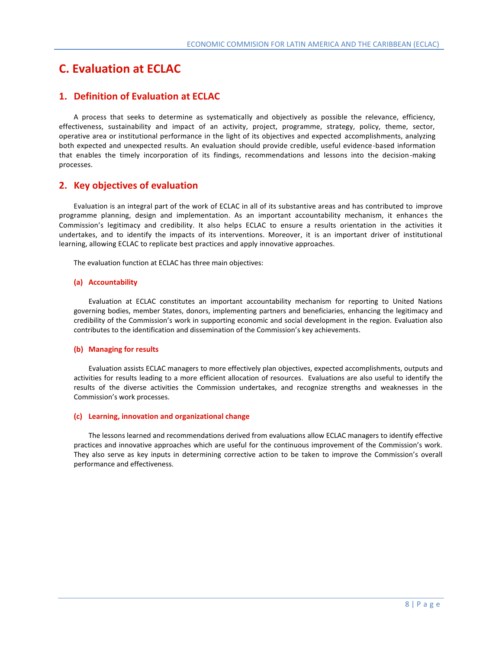# <span id="page-7-0"></span>**C. Evaluation at ECLAC**

# <span id="page-7-1"></span>**1. Definition of Evaluation at ECLAC**

 A process that seeks to determine as systematically and objectively as possible the relevance, efficiency, effectiveness, sustainability and impact of an activity, project, programme, strategy, policy, theme, sector, operative area or institutional performance in the light of its objectives and expected accomplishments, analyzing both expected and unexpected results. An evaluation should provide credible, useful evidence-based information that enables the timely incorporation of its findings, recommendations and lessons into the decision -making processes.

# <span id="page-7-2"></span>**2. Key objectives of evaluation**

 Evaluation is an integral part of the work of ECLAC in all of its substantive areas and has contributed to improve programme planning, design and implementation. As an important accountability mechanism, it enhances the Commission's legitimacy and credibility. It also helps ECLAC to ensure a results orientation in the activities it undertakes, and to identify the impacts of its interventions. Moreover, it is an important driver of institutional learning, allowing ECLAC to replicate best practices and apply innovative approaches.

The evaluation function at ECLAC has three main objectives:

#### **(a) Accountability**

Evaluation at ECLAC constitutes an important accountability mechanism for reporting to United Nations governing bodies, member States, donors, implementing partners and beneficiaries, enhancing the legitimacy and credibility of the Commission's work in supporting economic and social development in the region. Evaluation also contributes to the identification and dissemination of the Commission's key achievements.

#### **(b) Managing for results**

Evaluation assists ECLAC managers to more effectively plan objectives, expected accomplishments, outputs and activities for results leading to a more efficient allocation of resources. Evaluations are also useful to identify the results of the diverse activities the Commission undertakes, and recognize strengths and weaknesses in the Commission's work processes.

#### **(c) Learning, innovation and organizational change**

The lessons learned and recommendations derived from evaluations allow ECLAC managers to identify effective practices and innovative approaches which are useful for the continuous improvement of the Commission's work. They also serve as key inputs in determining corrective action to be taken to improve the Commission's overall performance and effectiveness.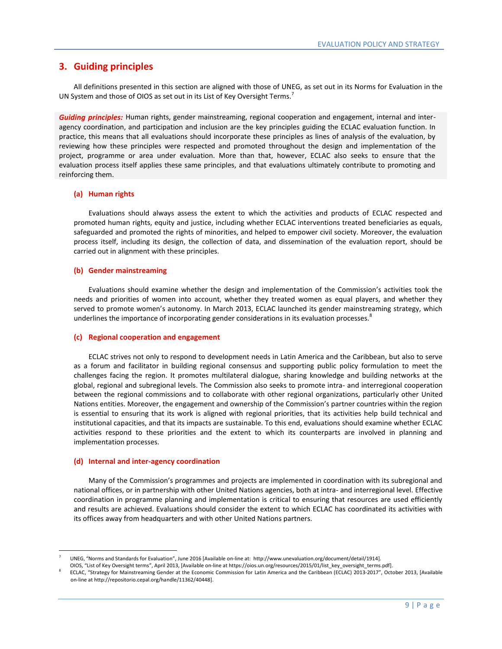## <span id="page-8-0"></span>**3. Guiding principles**

 All definitions presented in this section are aligned with those of UNEG, as set out in its Norms for Evaluation in the UN System and those of OIOS as set out in its List of Key Oversight Terms.<sup>7</sup>

*Guiding principles:* Human rights, gender mainstreaming, regional cooperation and engagement, internal and interagency coordination, and participation and inclusion are the key principles guiding the ECLAC evaluation function. In practice, this means that all evaluations should incorporate these principles as lines of analysis of the evaluation, by reviewing how these principles were respected and promoted throughout the design and implementation of the project, programme or area under evaluation. More than that, however, ECLAC also seeks to ensure that the evaluation process itself applies these same principles, and that evaluations ultimately contribute to promoting and reinforcing them.

#### **(a) Human rights**

Evaluations should always assess the extent to which the activities and products of ECLAC respected and promoted human rights, equity and justice, including whether ECLAC interventions treated beneficiaries as equals, safeguarded and promoted the rights of minorities, and helped to empower civil society. Moreover, the evaluation process itself, including its design, the collection of data, and dissemination of the evaluation report, should be carried out in alignment with these principles.

#### **(b) Gender mainstreaming**

Evaluations should examine whether the design and implementation of the Commission's activities took the needs and priorities of women into account, whether they treated women as equal players, and whether they served to promote women's autonomy. In March 2013, ECLAC launched its gender mainstreaming strategy, which underlines the importance of incorporating gender considerations in its evaluation processes.<sup>8</sup>

#### **(c) Regional cooperation and engagement**

ECLAC strives not only to respond to development needs in Latin America and the Caribbean, but also to serve as a forum and facilitator in building regional consensus and supporting public policy formulation to meet the challenges facing the region. It promotes multilateral dialogue, sharing knowledge and building networks at the global, regional and subregional levels. The Commission also seeks to promote intra- and interregional cooperation between the regional commissions and to collaborate with other regional organizations, particularly other United Nations entities. Moreover, the engagement and ownership of the Commission's partner countries within the region is essential to ensuring that its work is aligned with regional priorities, that its activities help build technical and institutional capacities, and that its impacts are sustainable. To this end, evaluations should examine whether ECLAC activities respond to these priorities and the extent to which its counterparts are involved in planning and implementation processes.

#### **(d) Internal and inter-agency coordination**

l

Many of the Commission's programmes and projects are implemented in coordination with its subregional and national offices, or in partnership with other United Nations agencies, both at intra- and interregional level. Effective coordination in programme planning and implementation is critical to ensuring that resources are used efficiently and results are achieved. Evaluations should consider the extent to which ECLAC has coordinated its activities with its offices away from headquarters and with other United Nations partners.

<sup>7</sup> UNEG, "Norms and Standards for Evaluation", June 2016 [Available on-line at: [http://www.unevaluation.org/document/detail/1914\]](http://www.unevaluation.org/document/detail/1914).

OIOS, "List of Key Oversight terms", April 2013, [Available on-line at https://oios.un.org/resources/2015/01/list\_key\_oversight\_terms.pdf].

<sup>8</sup> ECLAC, "Strategy for Mainstreaming Gender at the Economic Commission for Latin America and the Caribbean (ECLAC) 2013-2017", October 2013, [Available on-line at http://repositorio.cepal.org/handle/11362/40448].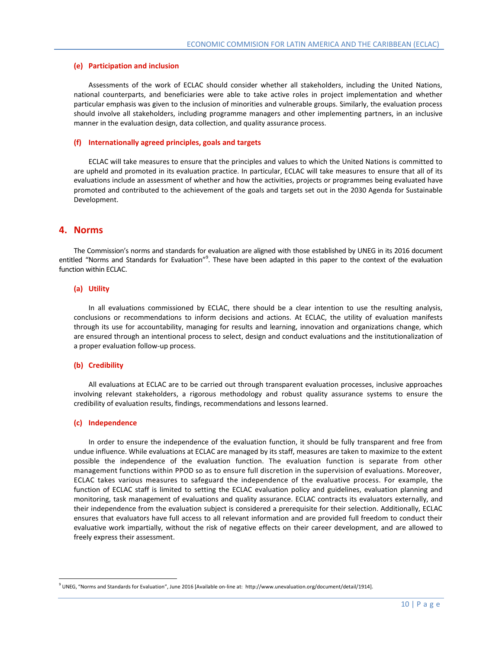#### **(e) Participation and inclusion**

Assessments of the work of ECLAC should consider whether all stakeholders, including the United Nations, national counterparts, and beneficiaries were able to take active roles in project implementation and whether particular emphasis was given to the inclusion of minorities and vulnerable groups. Similarly, the evaluation process should involve all stakeholders, including programme managers and other implementing partners, in an inclusive manner in the evaluation design, data collection, and quality assurance process.

#### **(f) Internationally agreed principles, goals and targets**

ECLAC will take measures to ensure that the principles and values to which the United Nations is committed to are upheld and promoted in its evaluation practice. In particular, ECLAC will take measures to ensure that all of its evaluations include an assessment of whether and how the activities, projects or programmes being evaluated have promoted and contributed to the achievement of the goals and targets set out in the 2030 Agenda for Sustainable Development.

### <span id="page-9-0"></span>**4. Norms**

The Commission's norms and standards for evaluation are aligned with those established by UNEG in its 2016 document entitled "Norms and Standards for Evaluation"<sup>9</sup>. These have been adapted in this paper to the context of the evaluation function within ECLAC.

#### **(a) Utility**

In all evaluations commissioned by ECLAC, there should be a clear intention to use the resulting analysis, conclusions or recommendations to inform decisions and actions. At ECLAC, the utility of evaluation manifests through its use for accountability, managing for results and learning, innovation and organizations change, which are ensured through an intentional process to select, design and conduct evaluations and the institutionalization of a proper evaluation follow-up process.

#### **(b) Credibility**

All evaluations at ECLAC are to be carried out through transparent evaluation processes, inclusive approaches involving relevant stakeholders, a rigorous methodology and robust quality assurance systems to ensure the credibility of evaluation results, findings, recommendations and lessons learned.

#### **(c) Independence**

 $\overline{\phantom{a}}$ 

In order to ensure the independence of the evaluation function, it should be fully transparent and free from undue influence. While evaluations at ECLAC are managed by its staff, measures are taken to maximize to the extent possible the independence of the evaluation function. The evaluation function is separate from other management functions within PPOD so as to ensure full discretion in the supervision of evaluations. Moreover, ECLAC takes various measures to safeguard the independence of the evaluative process. For example, the function of ECLAC staff is limited to setting the ECLAC evaluation policy and guidelines, evaluation planning and monitoring, task management of evaluations and quality assurance. ECLAC contracts its evaluators externally, and their independence from the evaluation subject is considered a prerequisite for their selection. Additionally, ECLAC ensures that evaluators have full access to all relevant information and are provided full freedom to conduct their evaluative work impartially, without the risk of negative effects on their career development, and are allowed to freely express their assessment.

<sup>&</sup>lt;sup>9</sup> UNEG, "Norms and Standards for Evaluation", June 2016 [Available on-line at: [http://www.unevaluation.org/document/detail/1914\].](http://www.unevaluation.org/document/detail/1914)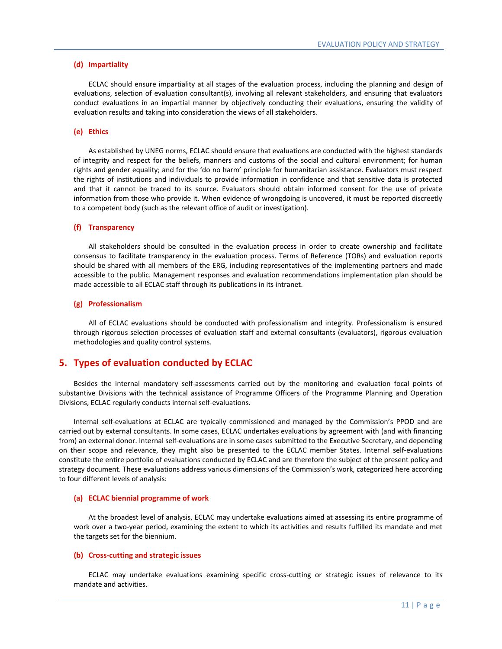#### **(d) Impartiality**

ECLAC should ensure impartiality at all stages of the evaluation process, including the planning and design of evaluations, selection of evaluation consultant(s), involving all relevant stakeholders, and ensuring that evaluators conduct evaluations in an impartial manner by objectively conducting their evaluations, ensuring the validity of evaluation results and taking into consideration the views of all stakeholders.

#### **(e) Ethics**

As established by UNEG norms, ECLAC should ensure that evaluations are conducted with the highest standards of integrity and respect for the beliefs, manners and customs of the social and cultural environment; for human rights and gender equality; and for the 'do no harm' principle for humanitarian assistance. Evaluators must respect the rights of institutions and individuals to provide information in confidence and that sensitive data is protected and that it cannot be traced to its source. Evaluators should obtain informed consent for the use of private information from those who provide it. When evidence of wrongdoing is uncovered, it must be reported discreetly to a competent body (such as the relevant office of audit or investigation).

#### **(f) Transparency**

All stakeholders should be consulted in the evaluation process in order to create ownership and facilitate consensus to facilitate transparency in the evaluation process. Terms of Reference (TORs) and evaluation reports should be shared with all members of the ERG, including representatives of the implementing partners and made accessible to the public. Management responses and evaluation recommendations implementation plan should be made accessible to all ECLAC staff through its publications in its intranet.

#### **(g) Professionalism**

All of ECLAC evaluations should be conducted with professionalism and integrity. Professionalism is ensured through rigorous selection processes of evaluation staff and external consultants (evaluators), rigorous evaluation methodologies and quality control systems.

#### <span id="page-10-0"></span>**5. Types of evaluation conducted by ECLAC**

 Besides the internal mandatory self-assessments carried out by the monitoring and evaluation focal points of substantive Divisions with the technical assistance of Programme Officers of the Programme Planning and Operation Divisions, ECLAC regularly conducts internal self-evaluations.

 Internal self-evaluations at ECLAC are typically commissioned and managed by the Commission's PPOD and are carried out by external consultants. In some cases, ECLAC undertakes evaluations by agreement with (and with financing from) an external donor. Internal self-evaluations are in some cases submitted to the Executive Secretary, and depending on their scope and relevance, they might also be presented to the ECLAC member States. Internal self-evaluations constitute the entire portfolio of evaluations conducted by ECLAC and are therefore the subject of the present policy and strategy document. These evaluations address various dimensions of the Commission's work, categorized here according to four different levels of analysis:

#### **(a) ECLAC biennial programme of work**

At the broadest level of analysis, ECLAC may undertake evaluations aimed at assessing its entire programme of work over a two-year period, examining the extent to which its activities and results fulfilled its mandate and met the targets set for the biennium.

#### **(b) Cross-cutting and strategic issues**

ECLAC may undertake evaluations examining specific cross-cutting or strategic issues of relevance to its mandate and activities.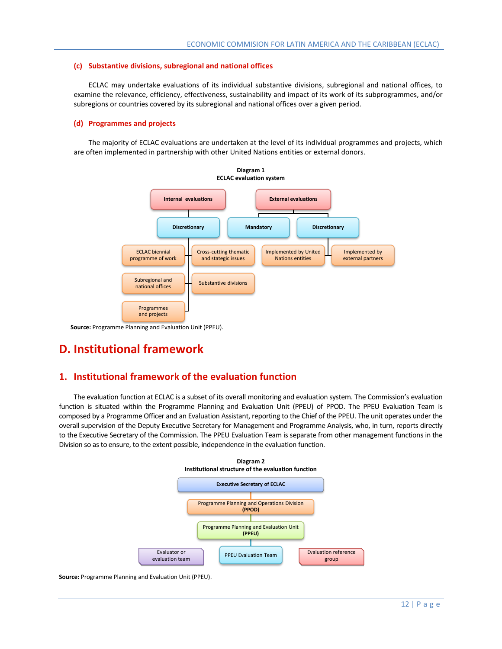#### **(c) Substantive divisions, subregional and national offices**

ECLAC may undertake evaluations of its individual substantive divisions, subregional and national offices, to examine the relevance, efficiency, effectiveness, sustainability and impact of its work of its subprogrammes, and/or subregions or countries covered by its subregional and national offices over a given period.

#### **(d) Programmes and projects**

The majority of ECLAC evaluations are undertaken at the level of its individual programmes and projects, which are often implemented in partnership with other United Nations entities or external donors.



**Source:** Programme Planning and Evaluation Unit (PPEU).

# <span id="page-11-0"></span>**D. Institutional framework**

# <span id="page-11-1"></span>**1. Institutional framework of the evaluation function**

 The evaluation function at ECLAC is a subset of its overall monitoring and evaluation system. The Commission's evaluation function is situated within the Programme Planning and Evaluation Unit (PPEU) of PPOD. The PPEU Evaluation Team is composed by a Programme Officer and an Evaluation Assistant, reporting to the Chief of the PPEU. The unit operates under the overall supervision of the Deputy Executive Secretary for Management and Programme Analysis, who, in turn, reports directly to the Executive Secretary of the Commission. The PPEU Evaluation Team is separate from other management functions in the Division so as to ensure, to the extent possible, independence in the evaluation function.



**Source:** Programme Planning and Evaluation Unit (PPEU).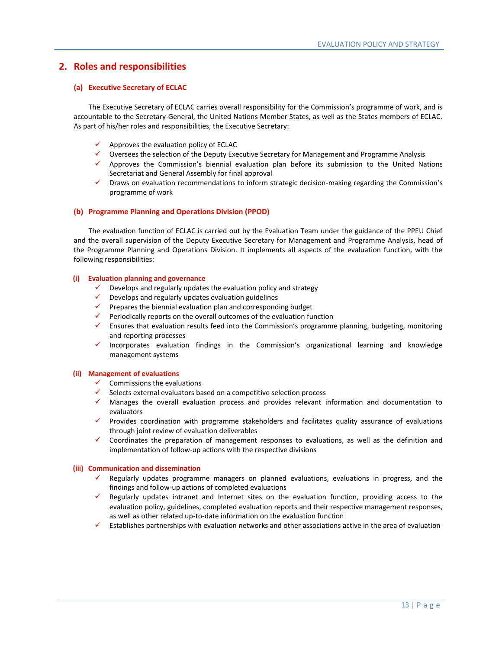## <span id="page-12-0"></span>**2. Roles and responsibilities**

#### **(a) Executive Secretary of ECLAC**

The Executive Secretary of ECLAC carries overall responsibility for the Commission's programme of work, and is accountable to the Secretary-General, the United Nations Member States, as well as the States members of ECLAC. As part of his/her roles and responsibilities, the Executive Secretary:

- $\checkmark$  Approves the evaluation policy of ECLAC
- $\checkmark$  Oversees the selection of the Deputy Executive Secretary for Management and Programme Analysis
- $\checkmark$  Approves the Commission's biennial evaluation plan before its submission to the United Nations Secretariat and General Assembly for final approval
- Draws on evaluation recommendations to inform strategic decision-making regarding the Commission's programme of work

#### **(b) Programme Planning and Operations Division (PPOD)**

The evaluation function of ECLAC is carried out by the Evaluation Team under the guidance of the PPEU Chief and the overall supervision of the Deputy Executive Secretary for Management and Programme Analysis, head of the Programme Planning and Operations Division. It implements all aspects of the evaluation function, with the following responsibilities:

#### **(i) Evaluation planning and governance**

- $\checkmark$  Develops and regularly updates the evaluation policy and strategy
- $\checkmark$  Develops and regularly updates evaluation guidelines
- $\checkmark$  Prepares the biennial evaluation plan and corresponding budget
- $\checkmark$  Periodically reports on the overall outcomes of the evaluation function
- $\checkmark$  Ensures that evaluation results feed into the Commission's programme planning, budgeting, monitoring and reporting processes
- $\checkmark$  Incorporates evaluation findings in the Commission's organizational learning and knowledge management systems

#### **(ii) Management of evaluations**

- $\checkmark$  Commissions the evaluations
- $\checkmark$  Selects external evaluators based on a competitive selection process
- $\checkmark$  Manages the overall evaluation process and provides relevant information and documentation to evaluators
- $\checkmark$  Provides coordination with programme stakeholders and facilitates quality assurance of evaluations through joint review of evaluation deliverables
- $\checkmark$  Coordinates the preparation of management responses to evaluations, as well as the definition and implementation of follow-up actions with the respective divisions

#### **(iii) Communication and dissemination**

- Regularly updates programme managers on planned evaluations, evaluations in progress, and the findings and follow-up actions of completed evaluations
- $\checkmark$  Regularly updates intranet and Internet sites on the evaluation function, providing access to the evaluation policy, guidelines, completed evaluation reports and their respective management responses, as well as other related up-to-date information on the evaluation function
- $\checkmark$  Establishes partnerships with evaluation networks and other associations active in the area of evaluation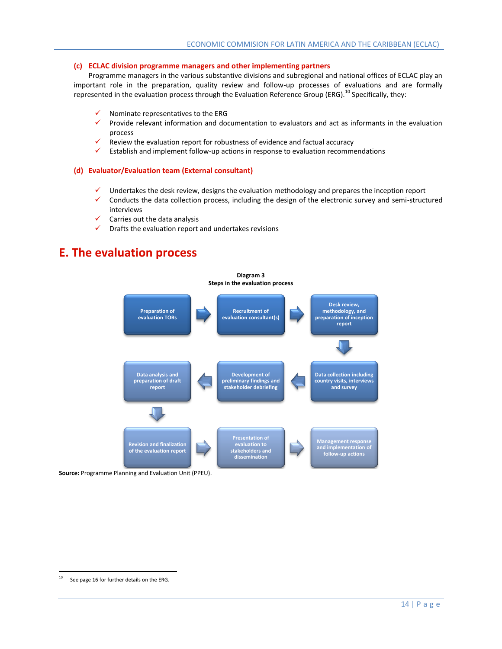#### **(c) ECLAC division programme managers and other implementing partners**

Programme managers in the various substantive divisions and subregional and national offices of ECLAC play an important role in the preparation, quality review and follow-up processes of evaluations and are formally represented in the evaluation process through the Evaluation Reference Group (ERG).<sup>10</sup> Specifically, they:

- Nominate representatives to the ERG
- $\checkmark$  Provide relevant information and documentation to evaluators and act as informants in the evaluation process
- $\checkmark$  Review the evaluation report for robustness of evidence and factual accuracy
- $\checkmark$  Establish and implement follow-up actions in response to evaluation recommendations

#### **(d) Evaluator/Evaluation team (External consultant)**

- $\checkmark$  Undertakes the desk review, designs the evaluation methodology and prepares the inception report
- $\checkmark$  Conducts the data collection process, including the design of the electronic survey and semi-structured interviews
- Carries out the data analysis
- $\checkmark$  Drafts the evaluation report and undertakes revisions

# <span id="page-13-0"></span>**E. The evaluation process**



**Source:** Programme Planning and Evaluation Unit (PPEU).

 $\overline{\phantom{a}}$ 

 $10$  See page 16 for further details on the ERG.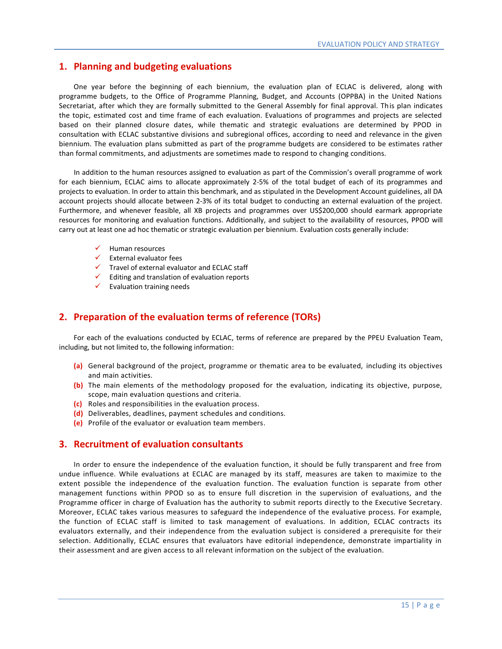## <span id="page-14-0"></span>**1. Planning and budgeting evaluations**

 One year before the beginning of each biennium, the evaluation plan of ECLAC is delivered, along with programme budgets, to the Office of Programme Planning, Budget, and Accounts (OPPBA) in the United Nations Secretariat, after which they are formally submitted to the General Assembly for final approval. This plan indicates the topic, estimated cost and time frame of each evaluation. Evaluations of programmes and projects are selected based on their planned closure dates, while thematic and strategic evaluations are determined by PPOD in consultation with ECLAC substantive divisions and subregional offices, according to need and relevance in the given biennium. The evaluation plans submitted as part of the programme budgets are considered to be estimates rather than formal commitments, and adjustments are sometimes made to respond to changing conditions.

In addition to the human resources assigned to evaluation as part of the Commission's overall programme of work for each biennium, ECLAC aims to allocate approximately 2-5% of the total budget of each of its programmes and projects to evaluation. In order to attain this benchmark, and as stipulated in the Development Account guidelines, all DA account projects should allocate between 2-3% of its total budget to conducting an external evaluation of the project. Furthermore, and whenever feasible, all XB projects and programmes over US\$200,000 should earmark appropriate resources for monitoring and evaluation functions. Additionally, and subject to the availability of resources, PPOD will carry out at least one ad hoc thematic or strategic evaluation per biennium. Evaluation costs generally include:

- $\checkmark$  Human resources
- $\checkmark$  External evaluator fees
- $\checkmark$  Travel of external evaluator and ECLAC staff
- $\checkmark$  Editing and translation of evaluation reports
- $\checkmark$  Evaluation training needs

## <span id="page-14-1"></span>**2. Preparation of the evaluation terms of reference (TORs)**

 For each of the evaluations conducted by ECLAC, terms of reference are prepared by the PPEU Evaluation Team, including, but not limited to, the following information:

- **(a)** General background of the project, programme or thematic area to be evaluated, including its objectives and main activities.
- **(b)** The main elements of the methodology proposed for the evaluation, indicating its objective, purpose, scope, main evaluation questions and criteria.
- **(c)** Roles and responsibilities in the evaluation process.
- **(d)** Deliverables, deadlines, payment schedules and conditions.
- **(e)** Profile of the evaluator or evaluation team members.

#### <span id="page-14-2"></span>**3. Recruitment of evaluation consultants**

 In order to ensure the independence of the evaluation function, it should be fully transparent and free from undue influence. While evaluations at ECLAC are managed by its staff, measures are taken to maximize to the extent possible the independence of the evaluation function. The evaluation function is separate from other management functions within PPOD so as to ensure full discretion in the supervision of evaluations, and the Programme officer in charge of Evaluation has the authority to submit reports directly to the Executive Secretary. Moreover, ECLAC takes various measures to safeguard the independence of the evaluative process. For example, the function of ECLAC staff is limited to task management of evaluations. In addition, ECLAC contracts its evaluators externally, and their independence from the evaluation subject is considered a prerequisite for their selection. Additionally, ECLAC ensures that evaluators have editorial independence, demonstrate impartiality in their assessment and are given access to all relevant information on the subject of the evaluation.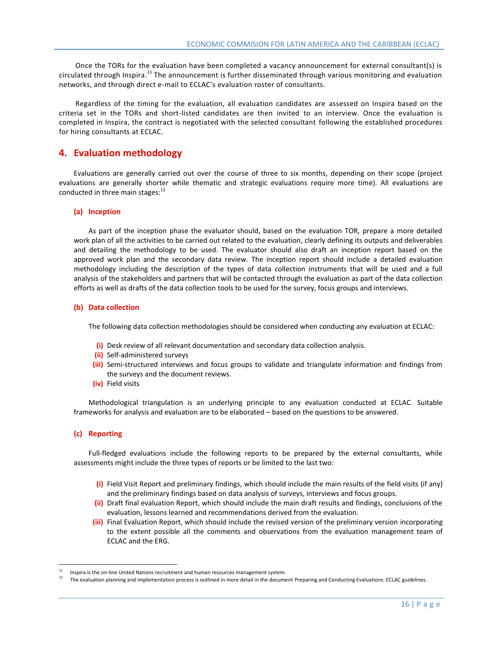Once the TORs for the evaluation have been completed a vacancy announcement for external consultant(s) is circulated through Inspira.<sup>11</sup> The announcement is further disseminated through various monitoring and evaluation networks, and through direct e-mail to ECLAC's evaluation roster of consultants.

 Regardless of the timing for the evaluation, all evaluation candidates are assessed on Inspira based on the criteria set in the TORs and short-listed candidates are then invited to an interview. Once the evaluation is completed in Inspira, the contract is negotiated with the selected consultant following the established procedures for hiring consultants at ECLAC.

#### <span id="page-15-0"></span>**4. Evaluation methodology**

 Evaluations are generally carried out over the course of three to six months, depending on their scope (project evaluations are generally shorter while thematic and strategic evaluations require more time). All evaluations are conducted in three main stages: $12$ 

#### **(a) Inception**

As part of the inception phase the evaluator should, based on the evaluation TOR, prepare a more detailed work plan of all the activities to be carried out related to the evaluation, clearly defining its outputs and deliverables and detailing the methodology to be used. The evaluator should also draft an inception report based on the approved work plan and the secondary data review. The inception report should include a detailed evaluation methodology including the description of the types of data collection instruments that will be used and a full analysis of the stakeholders and partners that will be contacted through the evaluation as part of the data collection efforts as well as drafts of the data collection tools to be used for the survey, focus groups and interviews.

#### **(b) Data collection**

The following data collection methodologies should be considered when conducting any evaluation at ECLAC:

- **(i)** Desk review of all relevant documentation and secondary data collection analysis.
- **(ii)** Self-administered surveys
- **(iii)** Semi-structured interviews and focus groups to validate and triangulate information and findings from the surveys and the document reviews.
- **(iv)** Field visits

Methodological triangulation is an underlying principle to any evaluation conducted at ECLAC. Suitable frameworks for analysis and evaluation are to be elaborated – based on the questions to be answered.

#### **(c) Reporting**

 $\overline{\phantom{a}}$ 

Full-fledged evaluations include the following reports to be prepared by the external consultants, while assessments might include the three types of reports or be limited to the last two:

- **(i)** Field Visit Report and preliminary findings, which should include the main results of the field visits (if any) and the preliminary findings based on data analysis of surveys, interviews and focus groups.
- **(ii)** Draft final evaluation Report, which should include the main draft results and findings, conclusions of the evaluation, lessons learned and recommendations derived from the evaluation.
- **(iii)** Final Evaluation Report, which should include the revised version of the preliminary version incorporating to the extent possible all the comments and observations from the evaluation management team of ECLAC and the ERG.

<sup>11</sup> Inspira is the on-line United Nations recruitment and human resources management system.

<sup>12</sup> The evaluation planning and implementation process is outlined in more detail in the document Preparing and Conducting Evaluations: ECLAC guidelines.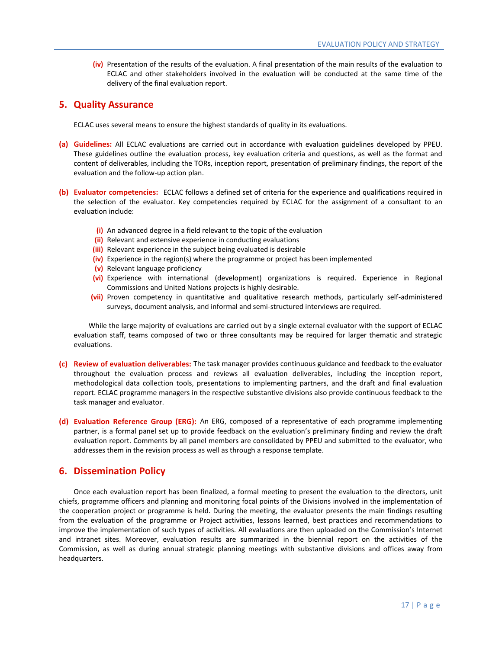**(iv)** Presentation of the results of the evaluation. A final presentation of the main results of the evaluation to ECLAC and other stakeholders involved in the evaluation will be conducted at the same time of the delivery of the final evaluation report.

## <span id="page-16-0"></span>**5. Quality Assurance**

ECLAC uses several means to ensure the highest standards of quality in its evaluations.

- **(a) Guidelines:** All ECLAC evaluations are carried out in accordance with evaluation guidelines developed by PPEU. These guidelines outline the evaluation process, key evaluation criteria and questions, as well as the format and content of deliverables, including the TORs, inception report, presentation of preliminary findings, the report of the evaluation and the follow-up action plan.
- **(b) Evaluator competencies:** ECLAC follows a defined set of criteria for the experience and qualifications required in the selection of the evaluator. Key competencies required by ECLAC for the assignment of a consultant to an evaluation include:
	- **(i)** An advanced degree in a field relevant to the topic of the evaluation
	- **(ii)** Relevant and extensive experience in conducting evaluations
	- **(iii)** Relevant experience in the subject being evaluated is desirable
	- **(iv)** Experience in the region(s) where the programme or project has been implemented
	- **(v)** Relevant language proficiency
	- **(vi)** Experience with international (development) organizations is required. Experience in Regional Commissions and United Nations projects is highly desirable.
	- **(vii)** Proven competency in quantitative and qualitative research methods, particularly self-administered surveys, document analysis, and informal and semi-structured interviews are required.

 While the large majority of evaluations are carried out by a single external evaluator with the support of ECLAC evaluation staff, teams composed of two or three consultants may be required for larger thematic and strategic evaluations.

- **(c) Review of evaluation deliverables:** The task manager provides continuous guidance and feedback to the evaluator throughout the evaluation process and reviews all evaluation deliverables, including the inception report, methodological data collection tools, presentations to implementing partners, and the draft and final evaluation report. ECLAC programme managers in the respective substantive divisions also provide continuous feedback to the task manager and evaluator.
- **(d) Evaluation Reference Group (ERG):** An ERG, composed of a representative of each programme implementing partner, is a formal panel set up to provide feedback on the evaluation's preliminary finding and review the draft evaluation report. Comments by all panel members are consolidated by PPEU and submitted to the evaluator, who addresses them in the revision process as well as through a response template.

# <span id="page-16-1"></span>**6. Dissemination Policy**

 Once each evaluation report has been finalized, a formal meeting to present the evaluation to the directors, unit chiefs, programme officers and planning and monitoring focal points of the Divisions involved in the implementation of the cooperation project or programme is held. During the meeting, the evaluator presents the main findings resulting from the evaluation of the programme or Project activities, lessons learned, best practices and recommendations to improve the implementation of such types of activities. All evaluations are then uploaded on the Commission's Internet and intranet sites. Moreover, evaluation results are summarized in the biennial report on the activities of the Commission, as well as during annual strategic planning meetings with substantive divisions and offices away from headquarters.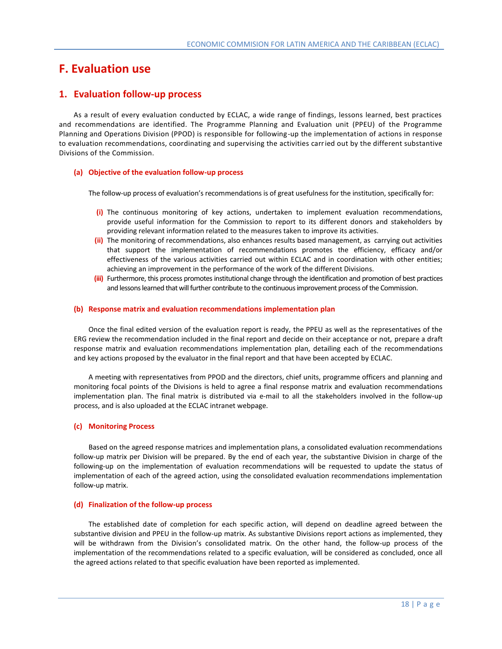# <span id="page-17-0"></span>**F. Evaluation use**

## <span id="page-17-1"></span>**1. Evaluation follow-up process**

 As a result of every evaluation conducted by ECLAC, a wide range of findings, lessons learned, best practices and recommendations are identified. The Programme Planning and Evaluation unit (PPEU) of the Programme Planning and Operations Division (PPOD) is responsible for following-up the implementation of actions in response to evaluation recommendations, coordinating and supervising the activities carr ied out by the different substantive Divisions of the Commission.

#### **(a) Objective of the evaluation follow-up process**

The follow-up process of evaluation's recommendations is of great usefulness for the institution, specifically for:

- **(i)** The continuous monitoring of key actions, undertaken to implement evaluation recommendations, provide useful information for the Commission to report to its different donors and stakeholders by providing relevant information related to the measures taken to improve its activities.
- **(ii)** The monitoring of recommendations, also enhances results based management, as carrying out activities that support the implementation of recommendations promotes the efficiency, efficacy and/or effectiveness of the various activities carried out within ECLAC and in coordination with other entities; achieving an improvement in the performance of the work of the different Divisions.
- **(iii)** Furthermore, this process promotes institutional change through the identification and promotion of best practices and lessons learned that will further contribute to the continuous improvement process of the Commission.

#### **(b) Response matrix and evaluation recommendations implementation plan**

Once the final edited version of the evaluation report is ready, the PPEU as well as the representatives of the ERG review the recommendation included in the final report and decide on their acceptance or not, prepare a draft response matrix and evaluation recommendations implementation plan, detailing each of the recommendations and key actions proposed by the evaluator in the final report and that have been accepted by ECLAC.

A meeting with representatives from PPOD and the directors, chief units, programme officers and planning and monitoring focal points of the Divisions is held to agree a final response matrix and evaluation recommendations implementation plan. The final matrix is distributed via e-mail to all the stakeholders involved in the follow-up process, and is also uploaded at the ECLAC intranet webpage.

#### **(c) Monitoring Process**

Based on the agreed response matrices and implementation plans, a consolidated evaluation recommendations follow-up matrix per Division will be prepared. By the end of each year, the substantive Division in charge of the following-up on the implementation of evaluation recommendations will be requested to update the status of implementation of each of the agreed action, using the consolidated evaluation recommendations implementation follow-up matrix.

#### **(d) Finalization of the follow-up process**

The established date of completion for each specific action, will depend on deadline agreed between the substantive division and PPEU in the follow-up matrix. As substantive Divisions report actions as implemented, they will be withdrawn from the Division's consolidated matrix. On the other hand, the follow-up process of the implementation of the recommendations related to a specific evaluation, will be considered as concluded, once all the agreed actions related to that specific evaluation have been reported as implemented.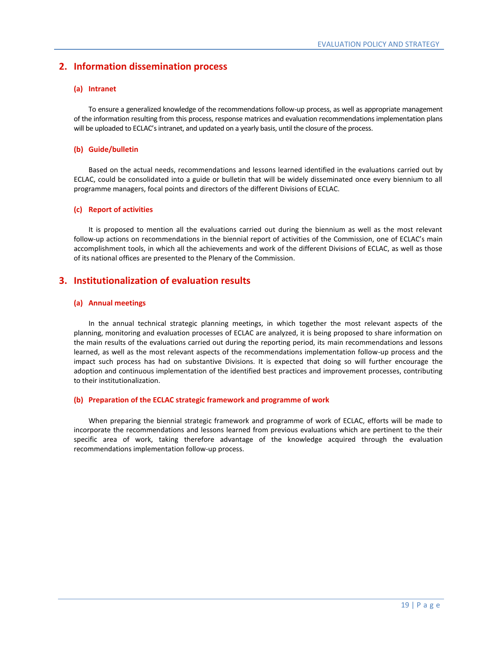# <span id="page-18-0"></span>**2. Information dissemination process**

#### **(a) Intranet**

To ensure a generalized knowledge of the recommendations follow-up process, as well as appropriate management of the information resulting from this process, response matrices and evaluation recommendations implementation plans will be uploaded to ECLAC's intranet, and updated on a yearly basis, until the closure of the process.

#### **(b) Guide/bulletin**

Based on the actual needs, recommendations and lessons learned identified in the evaluations carried out by ECLAC, could be consolidated into a guide or bulletin that will be widely disseminated once every biennium to all programme managers, focal points and directors of the different Divisions of ECLAC.

#### **(c) Report of activities**

It is proposed to mention all the evaluations carried out during the biennium as well as the most relevant follow-up actions on recommendations in the biennial report of activities of the Commission, one of ECLAC's main accomplishment tools, in which all the achievements and work of the different Divisions of ECLAC, as well as those of its national offices are presented to the Plenary of the Commission.

## <span id="page-18-1"></span>**3. Institutionalization of evaluation results**

#### **(a) Annual meetings**

In the annual technical strategic planning meetings, in which together the most relevant aspects of the planning, monitoring and evaluation processes of ECLAC are analyzed, it is being proposed to share information on the main results of the evaluations carried out during the reporting period, its main recommendations and lessons learned, as well as the most relevant aspects of the recommendations implementation follow-up process and the impact such process has had on substantive Divisions. It is expected that doing so will further encourage the adoption and continuous implementation of the identified best practices and improvement processes, contributing to their institutionalization.

#### **(b) Preparation of the ECLAC strategic framework and programme of work**

When preparing the biennial strategic framework and programme of work of ECLAC, efforts will be made to incorporate the recommendations and lessons learned from previous evaluations which are pertinent to the their specific area of work, taking therefore advantage of the knowledge acquired through the evaluation recommendations implementation follow-up process.